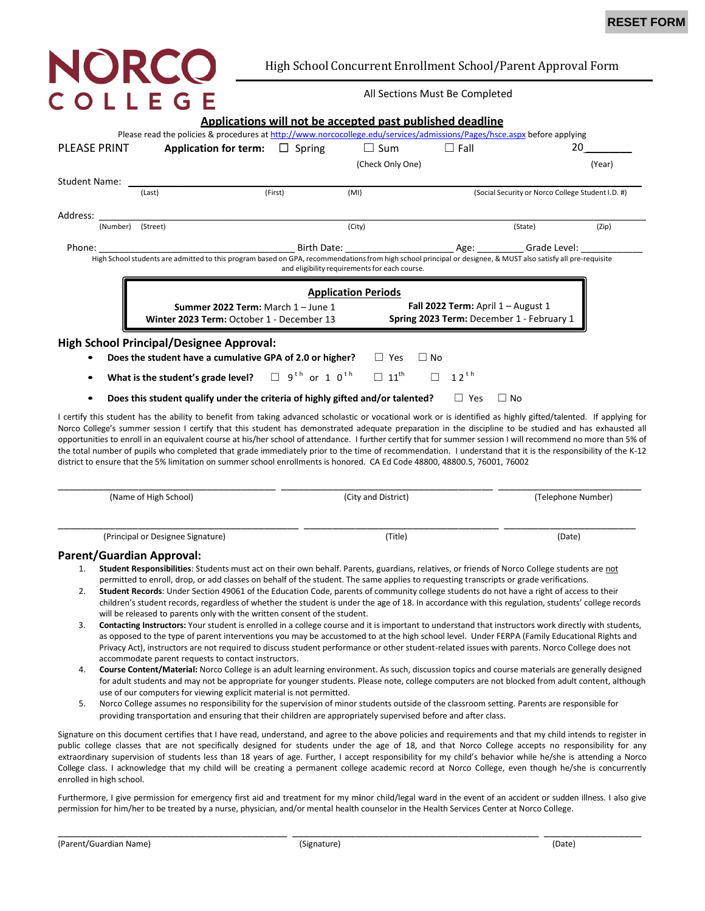# NORCO COLLEGE

## High School Concurrent Enrollment School/Parent Approval Form

#### All Sections Must Be Completed

|                     |                                                                                                                                                               | <b>Applications will not be accepted past published deadline</b>                       |                                               |             |                                                   |        |  |
|---------------------|---------------------------------------------------------------------------------------------------------------------------------------------------------------|----------------------------------------------------------------------------------------|-----------------------------------------------|-------------|---------------------------------------------------|--------|--|
|                     | Please read the policies & procedures at http://www.norcocollege.edu/services/admissions/Pages/hsce.aspx before applying                                      |                                                                                        |                                               |             |                                                   |        |  |
| <b>PLEASE PRINT</b> |                                                                                                                                                               | <b>Application for term:</b> $\Box$ Spring                                             | $\Box$ Sum                                    | $\Box$ Fall |                                                   | 20     |  |
|                     |                                                                                                                                                               |                                                                                        | (Check Only One)                              |             |                                                   | (Year) |  |
| Student Name:       |                                                                                                                                                               |                                                                                        |                                               |             |                                                   |        |  |
|                     | (Last)                                                                                                                                                        | (First)                                                                                | (MI)                                          |             | (Social Security or Norco College Student I.D. #) |        |  |
| Address:            |                                                                                                                                                               |                                                                                        |                                               |             |                                                   |        |  |
| (Number)            | (Street)                                                                                                                                                      |                                                                                        | (City)                                        |             | (State)                                           | (Zip)  |  |
| Phone:              |                                                                                                                                                               |                                                                                        | Birth Date: Age: Grade Level:                 |             |                                                   |        |  |
|                     | High School students are admitted to this program based on GPA, recommendations from high school principal or designee, & MUST also satisfy all pre-requisite |                                                                                        |                                               |             |                                                   |        |  |
|                     |                                                                                                                                                               |                                                                                        | and eligibility requirements for each course. |             |                                                   |        |  |
|                     |                                                                                                                                                               |                                                                                        |                                               |             |                                                   |        |  |
|                     | <b>Application Periods</b><br>Fall 2022 Term: April $1 -$ August 1<br>Summer 2022 Term: March 1 - June 1                                                      |                                                                                        |                                               |             |                                                   |        |  |
|                     |                                                                                                                                                               | Spring 2023 Term: December 1 - February 1<br>Winter 2023 Term: October 1 - December 13 |                                               |             |                                                   |        |  |
|                     |                                                                                                                                                               |                                                                                        |                                               |             |                                                   |        |  |
|                     | <b>High School Principal/Designee Approval:</b>                                                                                                               |                                                                                        |                                               |             |                                                   |        |  |
|                     | Does the student have a cumulative GPA of 2.0 or higher?                                                                                                      |                                                                                        | $\Box$ Yes                                    | $\Box$ No   |                                                   |        |  |
|                     | What is the student's grade level? $\Box$ 9 <sup>th</sup> or 1 0 <sup>th</sup>                                                                                |                                                                                        | $\Box$ 11 <sup>th</sup>                       | $12^{th}$   |                                                   |        |  |
|                     | Does this student qualify under the criteria of highly gifted and/or talented?                                                                                |                                                                                        |                                               | Yes<br>⊔    | ∐ No                                              |        |  |

I certify this student has the ability to benefit from taking advanced scholastic or vocational work or is identified as highly gifted/talented. If applying for Norco College's summer session I certify that this student has demonstrated adequate preparation in the discipline to be studied and has exhausted all opportunities to enroll in an equivalent course at his/her school of attendance. I further certify that for summer session I will recommend no more than 5% of the total number of pupils who completed that grade immediately prior to the time of recommendation. I understand that it is the responsibility of the K-12 district to ensure that the 5% limitation on summer school enrollments is honored. CA Ed Code 48800, 48800.5, 76001, 76002

| (Name of High School)             | (City and District) | (Telephone Number) |  |
|-----------------------------------|---------------------|--------------------|--|
| (Principal or Designee Signature) | (Title)             | (Date)             |  |

### **Parent/Guardian Approval:**

- 1. **Student Responsibilities**: Students must act on their own behalf. Parents, guardians, relatives, or friends of Norco College students are not permitted to enroll, drop, or add classes on behalf of the student. The same applies to requesting transcripts or grade verifications.
- 2. **Student Records**: Under Section 49061 of the Education Code, parents of community college students do not have a right of access to their children's student records, regardless of whether the student is under the age of 18. In accordance with this regulation, students' college records will be released to parents only with the written consent of the student.
- 3. **Contacting Instructors:** Your student is enrolled in a college course and it is important to understand that instructors work directly with students, as opposed to the type of parent interventions you may be accustomed to at the high school level. Under FERPA (Family Educational Rights and Privacy Act), instructors are not required to discuss student performance or other student-related issues with parents. Norco College does not accommodate parent requests to contact instructors.
- 4. **Course Content/Material:** Norco College is an adult learning environment. As such, discussion topics and course materials are generally designed for adult students and may not be appropriate for younger students. Please note, college computers are not blocked from adult content, although use of our computers for viewing explicit material is not permitted.
- 5. Norco College assumes no responsibility for the supervision of minor students outside of the classroom setting. Parents are responsible for providing transportation and ensuring that their children are appropriately supervised before and after class.

Signature on this document certifies that I have read, understand, and agree to the above policies and requirements and that my child intends to register in public college classes that are not specifically designed for students under the age of 18, and that Norco College accepts no responsibility for any extraordinary supervision of students less than 18 years of age. Further, I accept responsibility for my child's behavior while he/she is attending a Norco College class. I acknowledge that my child will be creating a permanent college academic record at Norco College, even though he/she is concurrently enrolled in high school.

Furthermore, I give permission for emergency first aid and treatment for my m**i**nor child/legal ward in the event of an accident or sudden illness. I also give permission for him/her to be treated by a nurse, physician, and/or mental health counselor in the Health Services Center at Norco College.

\_\_\_\_\_\_\_\_\_\_\_\_\_\_\_\_\_\_\_\_\_\_\_\_\_\_\_\_\_\_\_\_\_\_\_\_\_\_\_\_ \_\_\_\_\_\_\_\_\_\_\_\_\_\_\_\_\_\_\_\_\_\_\_\_\_\_\_\_\_\_\_\_\_\_\_\_\_\_\_\_\_\_\_ \_\_\_\_\_\_\_\_\_\_\_\_\_\_\_\_\_